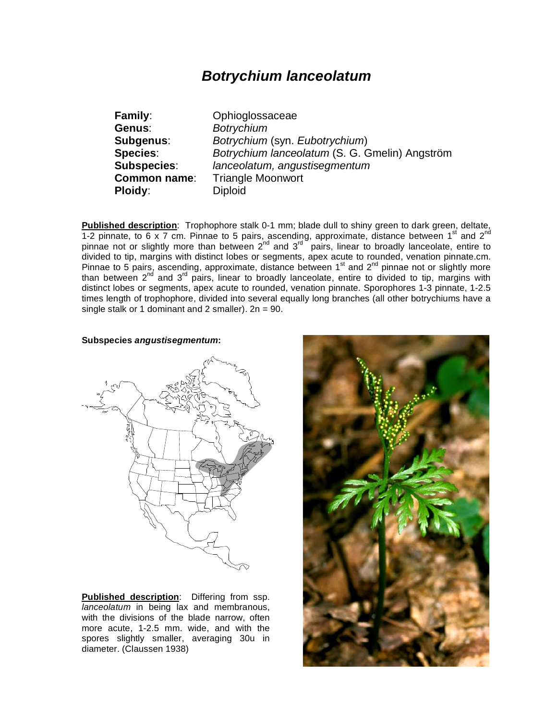# *Botrychium lanceolatum*

**Genus**: *Botrychium* **Ploidy:** Diploid

**Family**: Ophioglossaceae **Subgenus**: *Botrychium* (syn. *Eubotrychium*) **Species**: *Botrychium lanceolatum* (S. G. Gmelin) Angström **Subspecies**: *lanceolatum, angustisegmentum* **Common name**: Triangle Moonwort

**Published description**: Trophophore stalk 0-1 mm; blade dull to shiny green to dark green, deltate, 1-2 pinnate, to 6 x 7 cm. Pinnae to 5 pairs, ascending, approximate, distance between 1<sup>st</sup> and 2<sup>nd</sup> pinnae not or slightly more than between  $2^{nd}$  and  $3^{rd}$  pairs, linear to broadly lanceolate, entire to divided to tip, margins with distinct lobes or segments, apex acute to rounded, venation pinnate.cm. Pinnae to 5 pairs, ascending, approximate, distance between 1st and 2nd pinnae not or slightly more than between 2<sup>nd</sup> and 3<sup>rd</sup> pairs, linear to broadly lanceolate, entire to divided to tip, margins with distinct lobes or segments, apex acute to rounded, venation pinnate. Sporophores 1-3 pinnate, 1-2.5 times length of trophophore, divided into several equally long branches (all other botrychiums have a single stalk or 1 dominant and 2 smaller).  $2n = 90$ .

#### **Subspecies** *angustisegmentum***:**



**Published description**: Differing from ssp. *lanceolatum* in being lax and membranous, with the divisions of the blade narrow, often more acute, 1-2.5 mm. wide, and with the spores slightly smaller, averaging 30u in diameter. (Claussen 1938)

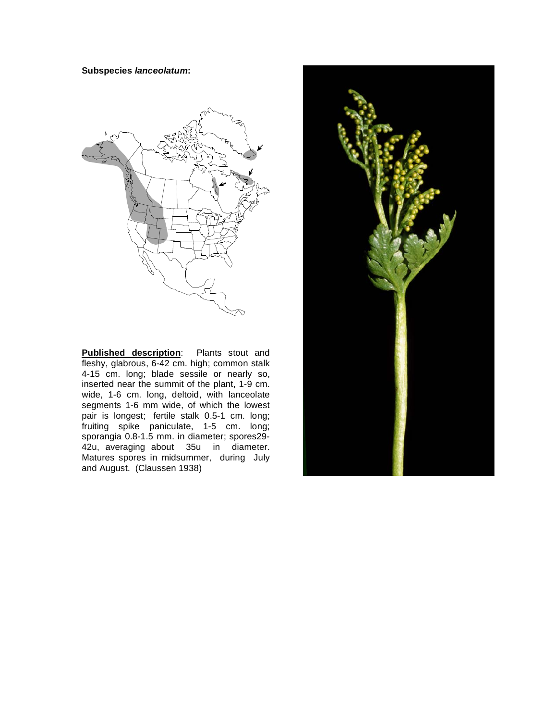#### **Subspecies** *lanceolatum***:**



**Published description**: Plants stout and fleshy, glabrous, 6-42 cm. high; common stalk 4-15 cm. long; blade sessile or nearly so, inserted near the summit of the plant, 1-9 cm. wide, 1-6 cm. long, deltoid, with lanceolate segments 1-6 mm wide, of which the lowest pair is longest; fertile stalk 0.5-1 cm. long; fruiting spike paniculate, 1-5 cm. long; sporangia 0.8-1.5 mm. in diameter; spores29- 42u, averaging about 35u in diameter. Matures spores in midsummer, during July and August. (Claussen 1938)

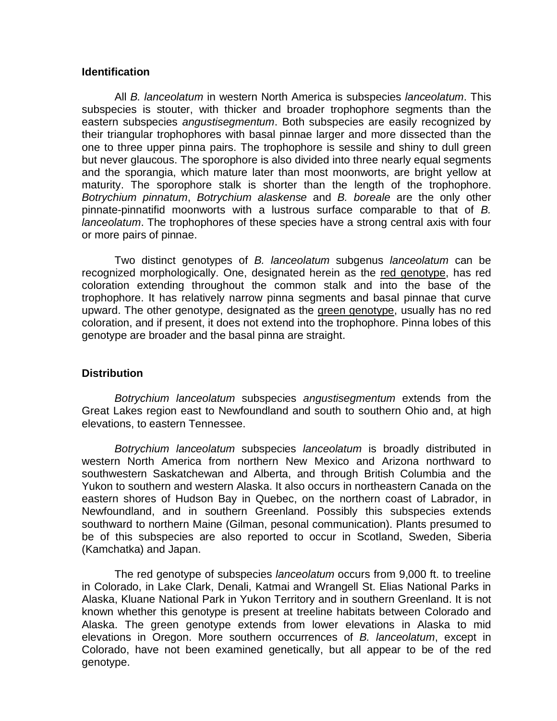## **Identification**

 All *B. lanceolatum* in western North America is subspecies *lanceolatum*. This subspecies is stouter, with thicker and broader trophophore segments than the eastern subspecies *angustisegmentum*. Both subspecies are easily recognized by their triangular trophophores with basal pinnae larger and more dissected than the one to three upper pinna pairs. The trophophore is sessile and shiny to dull green but never glaucous. The sporophore is also divided into three nearly equal segments and the sporangia, which mature later than most moonworts, are bright yellow at maturity. The sporophore stalk is shorter than the length of the trophophore. *Botrychium pinnatum*, *Botrychium alaskense* and *B. boreale* are the only other pinnate-pinnatifid moonworts with a lustrous surface comparable to that of *B. lanceolatum*. The trophophores of these species have a strong central axis with four or more pairs of pinnae.

 Two distinct genotypes of *B. lanceolatum* subgenus *lanceolatum* can be recognized morphologically. One, designated herein as the red genotype, has red coloration extending throughout the common stalk and into the base of the trophophore. It has relatively narrow pinna segments and basal pinnae that curve upward. The other genotype, designated as the green genotype, usually has no red coloration, and if present, it does not extend into the trophophore. Pinna lobes of this genotype are broader and the basal pinna are straight.

## **Distribution**

*Botrychium lanceolatum* subspecies *angustisegmentum* extends from the Great Lakes region east to Newfoundland and south to southern Ohio and, at high elevations, to eastern Tennessee.

*Botrychium lanceolatum* subspecies *lanceolatum* is broadly distributed in western North America from northern New Mexico and Arizona northward to southwestern Saskatchewan and Alberta, and through British Columbia and the Yukon to southern and western Alaska. It also occurs in northeastern Canada on the eastern shores of Hudson Bay in Quebec, on the northern coast of Labrador, in Newfoundland, and in southern Greenland. Possibly this subspecies extends southward to northern Maine (Gilman, pesonal communication). Plants presumed to be of this subspecies are also reported to occur in Scotland, Sweden, Siberia (Kamchatka) and Japan.

 The red genotype of subspecies *lanceolatum* occurs from 9,000 ft. to treeline in Colorado, in Lake Clark, Denali, Katmai and Wrangell St. Elias National Parks in Alaska, Kluane National Park in Yukon Territory and in southern Greenland. It is not known whether this genotype is present at treeline habitats between Colorado and Alaska. The green genotype extends from lower elevations in Alaska to mid elevations in Oregon. More southern occurrences of *B. lanceolatum*, except in Colorado, have not been examined genetically, but all appear to be of the red genotype.